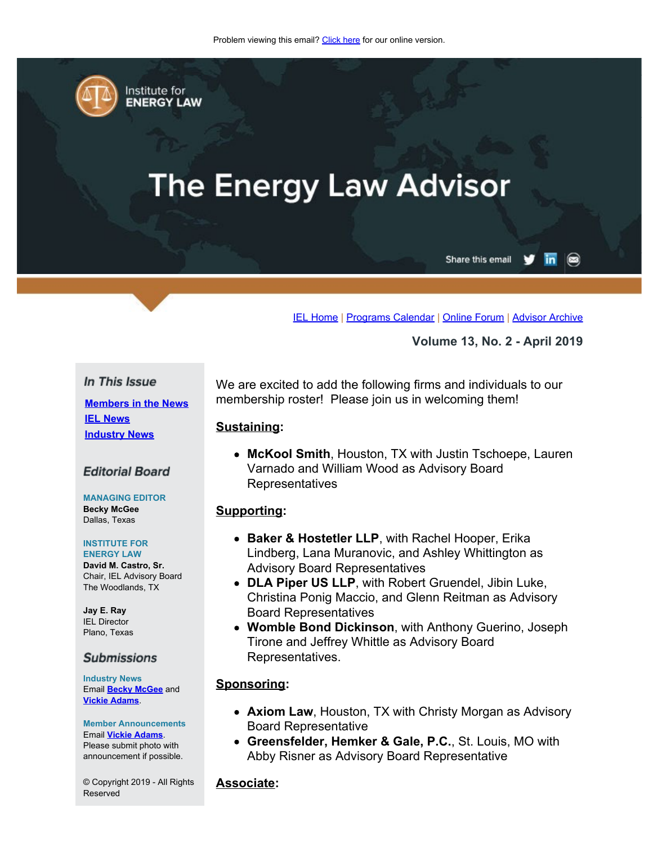<span id="page-0-0"></span>

Institute for **ENERGY LAW** 

# **The Energy Law Advisor**

Share this email in

 $\circledcirc$ 

[IEL Home](http://www.cailaw.org/institute-for-energy-law/index.html?utm_source=Informz&utm_medium=Email&utm_campaign=Event+Details) | [Programs Calendar](http://www.cailaw.org/institute-for-energy-law/programs-calendar.html?utm_source=Informz&utm_medium=Email&utm_campaign=Event+Details) | [Online Forum](https://www.linkedin.com/groups?gid=2330688&trk=myg_ugrp_ovr) | [Advisor Archive](http://www.cailaw.org/institute-for-energy-law/publications/energy-law-advisor.html?utm_source=Informz&utm_medium=Email&utm_campaign=Event+Details)

**Volume 13, No. 2 - April 2019**

## In This Issue

**[Members in the News](#page-0-0) [IEL News](#page-0-0) [Industry News](#page-0-0)**

## **Editorial Board**

**MANAGING EDITOR Becky McGee** Dallas, Texas

#### **INSTITUTE FOR ENERGY LAW**

**David M. Castro, Sr.** Chair, IEL Advisory Board The Woodlands, TX

**Jay E. Ray** IEL Director Plano, Texas

## **Submissions**

**Industry News** Email **[Becky McGee](mailto:beckymcgee@charter.net)** and **[Vickie Adams](mailto:vadams@cailaw.org)**.

**Member Announcements** Email **[Vickie Adams](mailto:vadams@cailaw.org)**. Please submit photo with announcement if possible.

© Copyright 2019 - All Rights Reserved

We are excited to add the following firms and individuals to our membership roster! Please join us in welcoming them!

#### **Sustaining:**

**McKool Smith**, Houston, TX with Justin Tschoepe, Lauren Varnado and William Wood as Advisory Board Representatives

## **Supporting:**

- **Baker & Hostetler LLP**, with Rachel Hooper, Erika Lindberg, Lana Muranovic, and Ashley Whittington as Advisory Board Representatives
- **DLA Piper US LLP**, with Robert Gruendel, Jibin Luke, Christina Ponig Maccio, and Glenn Reitman as Advisory Board Representatives
- **Womble Bond Dickinson**, with Anthony Guerino, Joseph Tirone and Jeffrey Whittle as Advisory Board Representatives.

## **Sponsoring:**

- **Axiom Law**, Houston, TX with Christy Morgan as Advisory Board Representative
- **Greensfelder, Hemker & Gale, P.C.**, St. Louis, MO with Abby Risner as Advisory Board Representative

## **Associate:**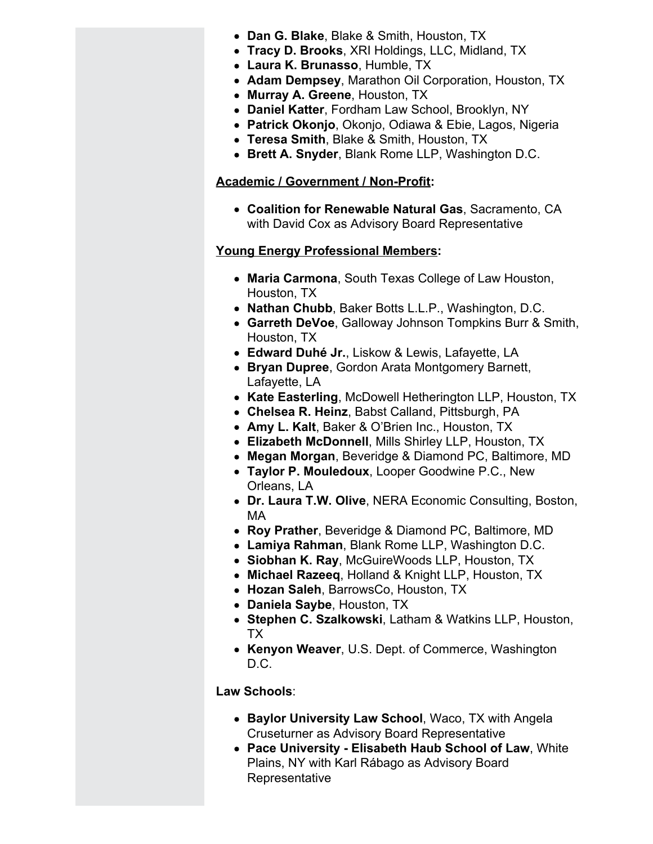- **Dan G. Blake**, Blake & Smith, Houston, TX
- **Tracy D. Brooks**, XRI Holdings, LLC, Midland, TX
- **Laura K. Brunasso**, Humble, TX
- **Adam Dempsey**, Marathon Oil Corporation, Houston, TX
- **Murray A. Greene**, Houston, TX
- **Daniel Katter**, Fordham Law School, Brooklyn, NY
- **Patrick Okonjo**, Okonjo, Odiawa & Ebie, Lagos, Nigeria
- **Teresa Smith**, Blake & Smith, Houston, TX
- **Brett A. Snyder**, Blank Rome LLP, Washington D.C.

## **Academic / Government / Non-Profit:**

**Coalition for Renewable Natural Gas**, Sacramento, CA with David Cox as Advisory Board Representative

## **Young Energy Professional Members:**

- **Maria Carmona**, South Texas College of Law Houston, Houston, TX
- **Nathan Chubb**, Baker Botts L.L.P., Washington, D.C.
- **Garreth DeVoe**, Galloway Johnson Tompkins Burr & Smith, Houston, TX
- **Edward Duhé Jr.**, Liskow & Lewis, Lafayette, LA
- **Bryan Dupree**, Gordon Arata Montgomery Barnett, Lafayette, LA
- **Kate Easterling**, McDowell Hetherington LLP, Houston, TX
- **Chelsea R. Heinz**, Babst Calland, Pittsburgh, PA
- **Amy L. Kalt**, Baker & O'Brien Inc., Houston, TX
- **Elizabeth McDonnell**, Mills Shirley LLP, Houston, TX
- **Megan Morgan**, Beveridge & Diamond PC, Baltimore, MD
- **Taylor P. Mouledoux**, Looper Goodwine P.C., New Orleans, LA
- **Dr. Laura T.W. Olive**, NERA Economic Consulting, Boston, MA
- **Roy Prather**, Beveridge & Diamond PC, Baltimore, MD
- **Lamiya Rahman**, Blank Rome LLP, Washington D.C.
- **Siobhan K. Ray**, McGuireWoods LLP, Houston, TX
- **Michael Razeeq**, Holland & Knight LLP, Houston, TX
- **Hozan Saleh**, BarrowsCo, Houston, TX
- **Daniela Saybe**, Houston, TX
- **Stephen C. Szalkowski**, Latham & Watkins LLP, Houston, TX
- **Kenyon Weaver**, U.S. Dept. of Commerce, Washington D.C.

## **Law Schools**:

- **Baylor University Law School**, Waco, TX with Angela Cruseturner as Advisory Board Representative
- **Pace University Elisabeth Haub School of Law**, White Plains, NY with Karl Rábago as Advisory Board Representative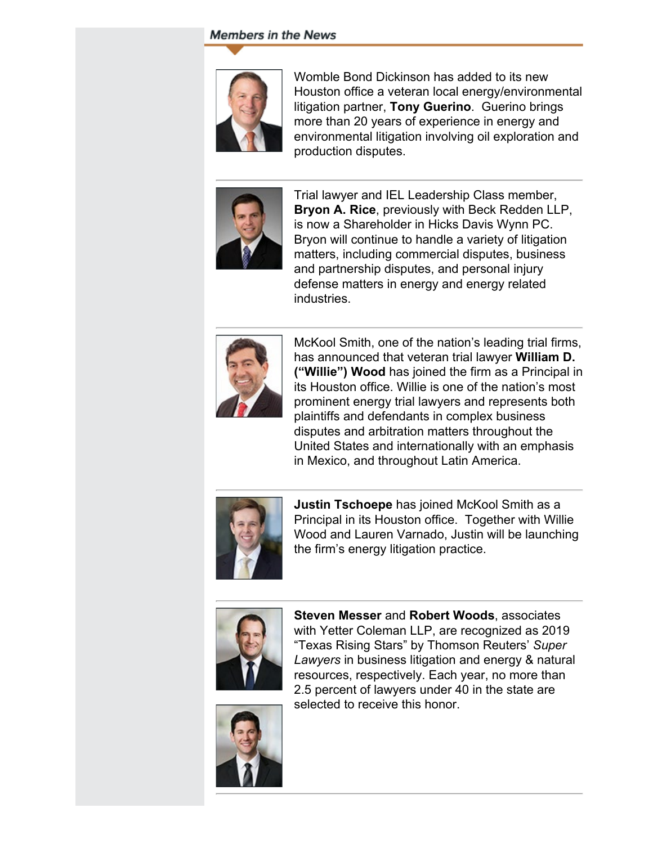## **Members in the News**



Womble Bond Dickinson has added to its new Houston office a veteran local energy/environmental litigation partner, **Tony Guerino**. Guerino brings more than 20 years of experience in energy and environmental litigation involving oil exploration and production disputes.



Trial lawyer and IEL Leadership Class member, **Bryon A. Rice**, previously with Beck Redden LLP, is now a Shareholder in Hicks Davis Wynn PC. Bryon will continue to handle a variety of litigation matters, including commercial disputes, business and partnership disputes, and personal injury defense matters in energy and energy related industries.



McKool Smith, one of the nation's leading trial firms, has announced that veteran trial lawyer **William D. ("Willie") Wood** has joined the firm as a Principal in its Houston office. Willie is one of the nation's most prominent energy trial lawyers and represents both plaintiffs and defendants in complex business disputes and arbitration matters throughout the United States and internationally with an emphasis in Mexico, and throughout Latin America.



**Justin Tschoepe** has joined McKool Smith as a Principal in its Houston office. Together with Willie Wood and Lauren Varnado, Justin will be launching the firm's energy litigation practice.



**Steven Messer** and **Robert Woods**, associates with Yetter Coleman LLP, are recognized as 2019 "Texas Rising Stars" by Thomson Reuters' *Super Lawyers* in business litigation and energy & natural resources, respectively. Each year, no more than 2.5 percent of lawyers under 40 in the state are selected to receive this honor.

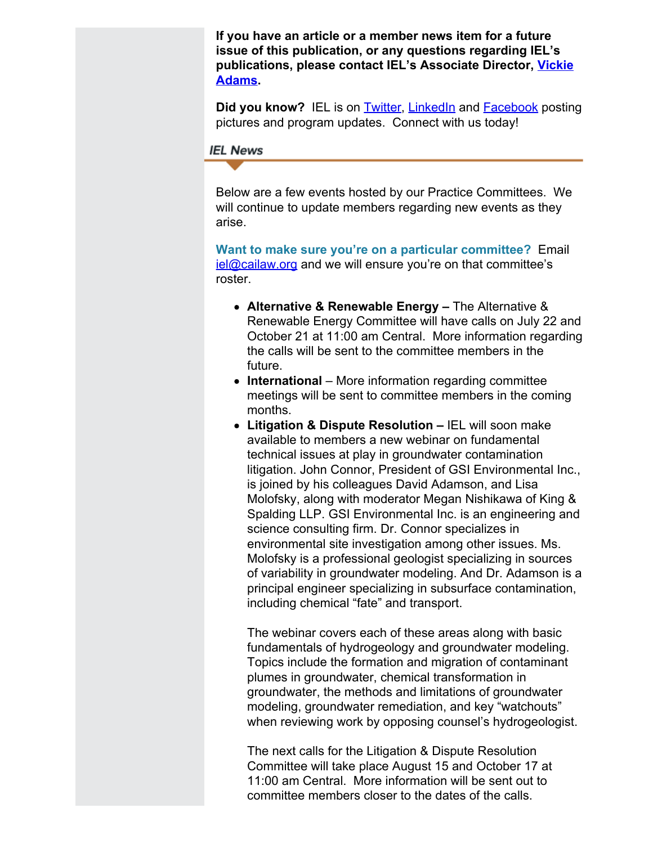**If you have an article or a member news item for a future issue of this publication, or any questions regarding IEL's publications, please contact IEL's Associate Director, [Vickie](mailto:vadams@cailaw.org?subject=Publications) [Adams.](mailto:vadams@cailaw.org?subject=Publications)**

**Did you know?** IEL is on **Twitter**, **[LinkedIn](https://linkedin.com/company/institute-for-energy-law)** and **Facebook** posting pictures and program updates. Connect with us today!

#### **IEL News**

Below are a few events hosted by our Practice Committees. We will continue to update members regarding new events as they arise.

**Want to make sure you're on a particular committee?** Email  $i$ el@cailaw.org and we will ensure you're on that committee's roster.

- **Alternative & Renewable Energy** The Alternative & Renewable Energy Committee will have calls on July 22 and October 21 at 11:00 am Central. More information regarding the calls will be sent to the committee members in the future.
- **International** More information regarding committee meetings will be sent to committee members in the coming months.
- **Litigation & Dispute Resolution** IEL will soon make available to members a new webinar on fundamental technical issues at play in groundwater contamination litigation. John Connor, President of GSI Environmental Inc., is joined by his colleagues David Adamson, and Lisa Molofsky, along with moderator Megan Nishikawa of King & Spalding LLP. GSI Environmental Inc. is an engineering and science consulting firm. Dr. Connor specializes in environmental site investigation among other issues. Ms. Molofsky is a professional geologist specializing in sources of variability in groundwater modeling. And Dr. Adamson is a principal engineer specializing in subsurface contamination, including chemical "fate" and transport.

The webinar covers each of these areas along with basic fundamentals of hydrogeology and groundwater modeling. Topics include the formation and migration of contaminant plumes in groundwater, chemical transformation in groundwater, the methods and limitations of groundwater modeling, groundwater remediation, and key "watchouts" when reviewing work by opposing counsel's hydrogeologist.

The next calls for the Litigation & Dispute Resolution Committee will take place August 15 and October 17 at 11:00 am Central. More information will be sent out to committee members closer to the dates of the calls.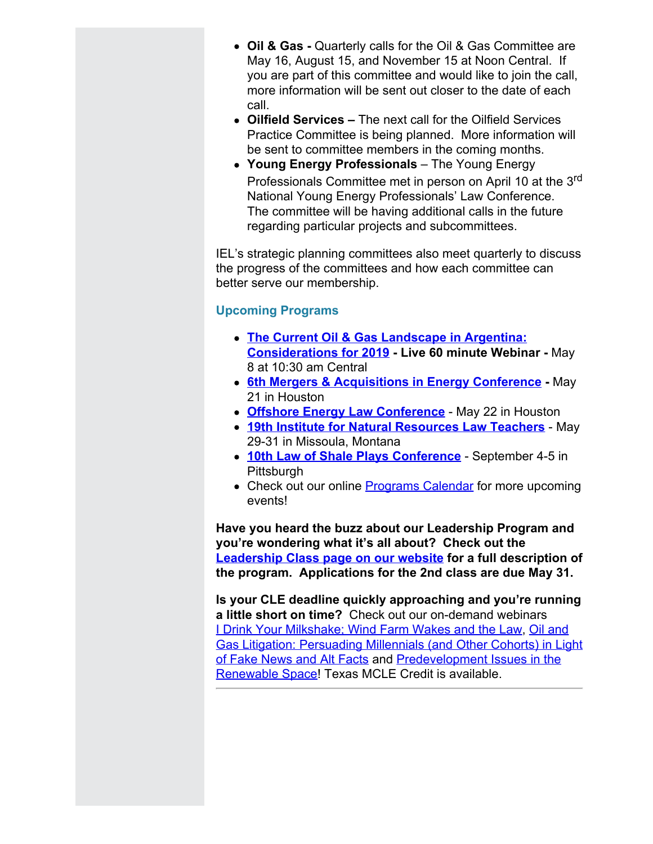- **Oil & Gas** Quarterly calls for the Oil & Gas Committee are May 16, August 15, and November 15 at Noon Central. If you are part of this committee and would like to join the call, more information will be sent out closer to the date of each call.
- **Oilfield Services** The next call for the Oilfield Services Practice Committee is being planned. More information will be sent to committee members in the coming months.
- **Young Energy Professionals** The Young Energy Professionals Committee met in person on April 10 at the 3<sup>rd</sup> National Young Energy Professionals' Law Conference. The committee will be having additional calls in the future regarding particular projects and subcommittees.

IEL's strategic planning committees also meet quarterly to discuss the progress of the committees and how each committee can better serve our membership.

## **Upcoming Programs**

- **[The Current Oil & Gas Landscape in Argentina:](http://www.cailaw.org/institute-for-energy-law/events/2019/oil-gas-argentina-webinar.html?utm_source=Informz&utm_medium=Email&utm_campaign=Event+Details) [Considerations for 2019](http://www.cailaw.org/institute-for-energy-law/events/2019/oil-gas-argentina-webinar.html?utm_source=Informz&utm_medium=Email&utm_campaign=Event+Details) - Live 60 minute Webinar -** May 8 at 10:30 am Central
- **6th [Mergers & Acquisitions in Energy Conference](http://www.cailaw.org/institute-for-energy-law/events/2019/mergers-and-acquisitions.html?utm_source=Informz&utm_medium=Email&utm_campaign=Event+Details) -** May 21 in Houston
- **[Offshore Energy Law Conference](http://www.cailaw.org/institute-for-energy-law/events/2019/offshore-energy.html?utm_source=Informz&utm_medium=Email&utm_campaign=Event+Details)** May 22 in Houston
- **[19th Institute for Natural Resources Law Teachers](http://www.cailaw.org/institute-for-energy-law/events/2019/institute-for-natural-resources-law-teachers.html?utm_source=Informz&utm_medium=Email&utm_campaign=Event+Details)** May 29-31 in Missoula, Montana
- **10th [Law of Shale Plays Conference](http://www.cailaw.org/institute-for-energy-law/events/2019/law-of-shale-plays.html?utm_source=Informz&utm_medium=Email&utm_campaign=Event+Details)** September 4-5 in **Pittsburgh**
- Check out our online [Programs Calendar](http://www.cailaw.org/institute-for-energy-law/programs-calendar.html?utm_source=Informz&utm_medium=Email&utm_campaign=Event+Details) for more upcoming events!

**Have you heard the buzz about our Leadership Program and you're wondering what it's all about? Check out the [Leadership Class page on our website](http://www.cailaw.org/institute-for-energy-law/leadership-class/index.html?utm_source=Informz&utm_medium=Email&utm_campaign=Event+Details) for a full description of the program. Applications for the 2nd class are due May 31.**

**Is your CLE deadline quickly approaching and you're running a little short on time?** Check out our on-demand webinars [I Drink Your Milkshake; Wind Farm Wakes and the Law,](http://www.cailaw.org/institute-for-energy-law/onlineeducation/2019/drink-your-milkshake-webinar.html?utm_source=Informz&utm_medium=Email&utm_campaign=Event+Details) [Oil and](http://www.cailaw.org/institute-for-energy-law/onlineeducation/2018/oil-gas-litigation-webinar.html?utm_source=Informz&utm_medium=Email&utm_campaign=Event+Details) [Gas Litigation: Persuading Millennials \(and Other Cohorts\) in Light](http://www.cailaw.org/institute-for-energy-law/onlineeducation/2018/oil-gas-litigation-webinar.html?utm_source=Informz&utm_medium=Email&utm_campaign=Event+Details) [of Fake News and Alt Facts](http://www.cailaw.org/institute-for-energy-law/onlineeducation/2018/oil-gas-litigation-webinar.html?utm_source=Informz&utm_medium=Email&utm_campaign=Event+Details) and [Predevelopment Issues in the](http://www.cailaw.org/institute-for-energy-law/events/2018/predevelopment-issues-webinar.html?utm_source=Informz&utm_medium=Email&utm_campaign=Event+Details) [Renewable Space](http://www.cailaw.org/institute-for-energy-law/events/2018/predevelopment-issues-webinar.html?utm_source=Informz&utm_medium=Email&utm_campaign=Event+Details)! Texas MCLE Credit is available.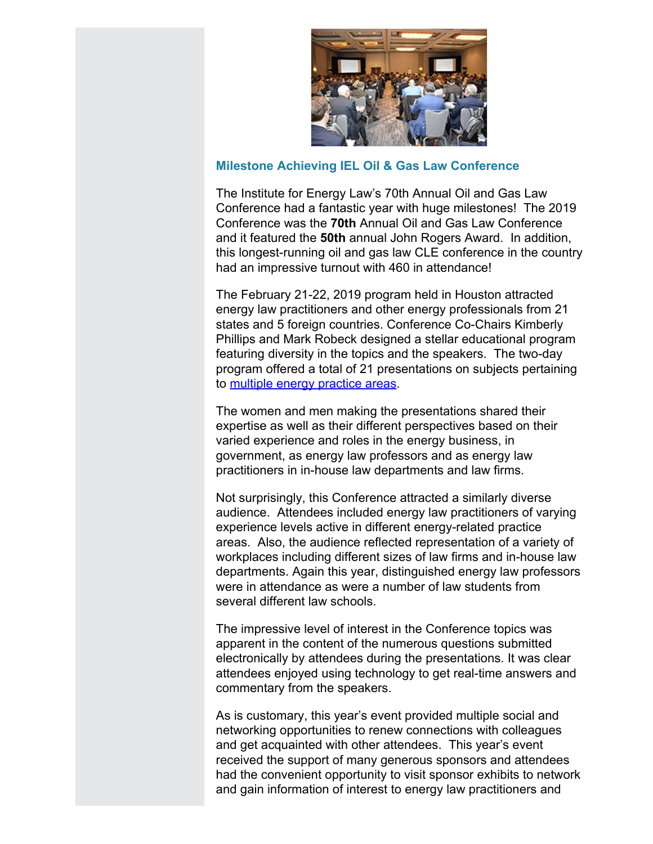

## **Milestone Achieving IEL Oil & Gas Law Conference**

The Institute for Energy Law's 70th Annual Oil and Gas Law Conference had a fantastic year with huge milestones! The 2019 Conference was the **70th** Annual Oil and Gas Law Conference and it featured the **50th** annual John Rogers Award. In addition, this longest-running oil and gas law CLE conference in the country had an impressive turnout with 460 in attendance!

The February 21-22, 2019 program held in Houston attracted energy law practitioners and other energy professionals from 21 states and 5 foreign countries. Conference Co-Chairs Kimberly Phillips and Mark Robeck designed a stellar educational program featuring diversity in the topics and the speakers. The two-day program offered a total of 21 presentations on subjects pertaining to [multiple energy practice areas](http://www.cailaw.org/institute-for-energy-law/events/2019/oil-gas-law-conference.html?utm_source=Informz&utm_medium=Email&utm_campaign=Event+Details).

The women and men making the presentations shared their expertise as well as their different perspectives based on their varied experience and roles in the energy business, in government, as energy law professors and as energy law practitioners in in-house law departments and law firms.

Not surprisingly, this Conference attracted a similarly diverse audience. Attendees included energy law practitioners of varying experience levels active in different energy-related practice areas. Also, the audience reflected representation of a variety of workplaces including different sizes of law firms and in-house law departments. Again this year, distinguished energy law professors were in attendance as were a number of law students from several different law schools.

The impressive level of interest in the Conference topics was apparent in the content of the numerous questions submitted electronically by attendees during the presentations. It was clear attendees enjoyed using technology to get real-time answers and commentary from the speakers.

As is customary, this year's event provided multiple social and networking opportunities to renew connections with colleagues and get acquainted with other attendees. This year's event received the support of many generous sponsors and attendees had the convenient opportunity to visit sponsor exhibits to network and gain information of interest to energy law practitioners and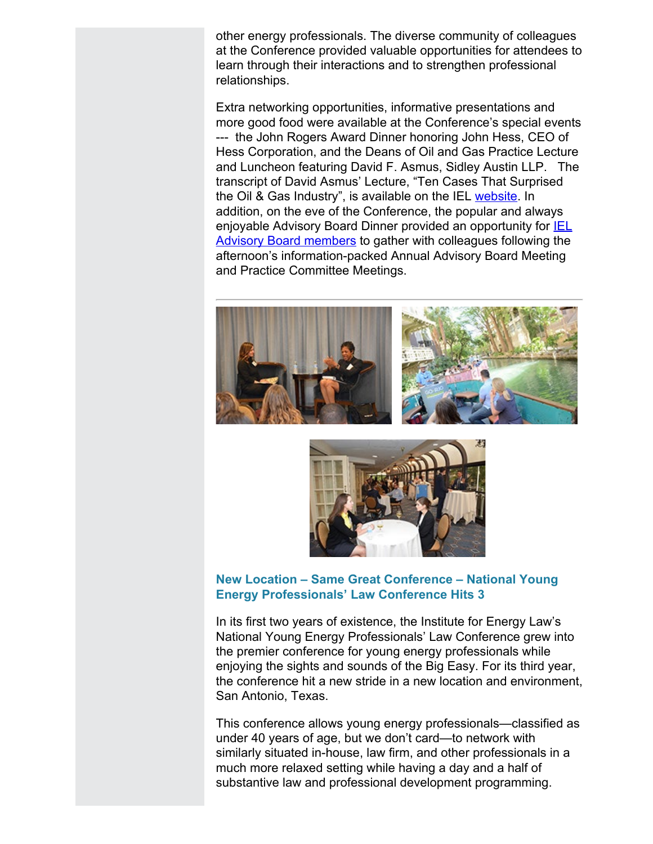other energy professionals. The diverse community of colleagues at the Conference provided valuable opportunities for attendees to learn through their interactions and to strengthen professional relationships.

Extra networking opportunities, informative presentations and more good food were available at the Conference's special events --- the John Rogers Award Dinner honoring John Hess, CEO of Hess Corporation, and the Deans of Oil and Gas Practice Lecture and Luncheon featuring David F. Asmus, Sidley Austin LLP. The transcript of David Asmus' Lecture, "Ten Cases That Surprised the Oil & Gas Industry", is available on the IEL [website](http://www.cailaw.org/media/files/IEL/Remarks/dasmus-deans-2019.pdf). In addition, on the eve of the Conference, the popular and always enjoyable Advisory Board Dinner provided an opportunity for **IEL** [Advisory Board members](http://www.cailaw.org/institute-for-energy-law/our-members/advisory-board.html?utm_source=Informz&utm_medium=Email&utm_campaign=Event+Details) to gather with colleagues following the afternoon's information-packed Annual Advisory Board Meeting and Practice Committee Meetings.





## **New Location – Same Great Conference – National Young Energy Professionals' Law Conference Hits 3**

In its first two years of existence, the Institute for Energy Law's National Young Energy Professionals' Law Conference grew into the premier conference for young energy professionals while enjoying the sights and sounds of the Big Easy. For its third year, the conference hit a new stride in a new location and environment, San Antonio, Texas.

This conference allows young energy professionals—classified as under 40 years of age, but we don't card—to network with similarly situated in-house, law firm, and other professionals in a much more relaxed setting while having a day and a half of substantive law and professional development programming.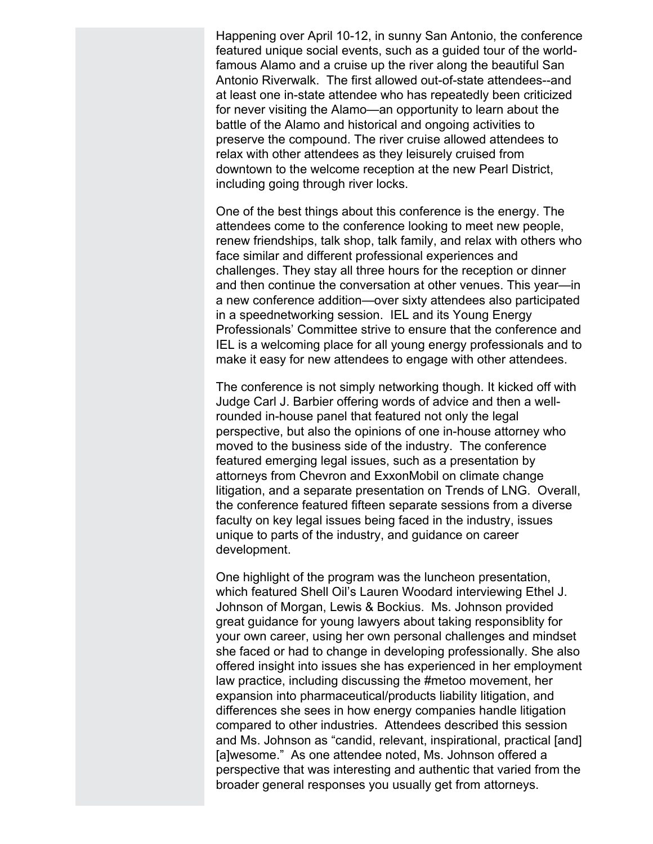Happening over April 10-12, in sunny San Antonio, the conference featured unique social events, such as a guided tour of the worldfamous Alamo and a cruise up the river along the beautiful San Antonio Riverwalk. The first allowed out-of-state attendees--and at least one in-state attendee who has repeatedly been criticized for never visiting the Alamo—an opportunity to learn about the battle of the Alamo and historical and ongoing activities to preserve the compound. The river cruise allowed attendees to relax with other attendees as they leisurely cruised from downtown to the welcome reception at the new Pearl District, including going through river locks.

One of the best things about this conference is the energy. The attendees come to the conference looking to meet new people, renew friendships, talk shop, talk family, and relax with others who face similar and different professional experiences and challenges. They stay all three hours for the reception or dinner and then continue the conversation at other venues. This year—in a new conference addition—over sixty attendees also participated in a speednetworking session. IEL and its Young Energy Professionals' Committee strive to ensure that the conference and IEL is a welcoming place for all young energy professionals and to make it easy for new attendees to engage with other attendees.

The conference is not simply networking though. It kicked off with Judge Carl J. Barbier offering words of advice and then a wellrounded in-house panel that featured not only the legal perspective, but also the opinions of one in-house attorney who moved to the business side of the industry. The conference featured emerging legal issues, such as a presentation by attorneys from Chevron and ExxonMobil on climate change litigation, and a separate presentation on Trends of LNG. Overall, the conference featured fifteen separate sessions from a diverse faculty on key legal issues being faced in the industry, issues unique to parts of the industry, and guidance on career development.

One highlight of the program was the luncheon presentation, which featured Shell Oil's Lauren Woodard interviewing Ethel J. Johnson of Morgan, Lewis & Bockius. Ms. Johnson provided great guidance for young lawyers about taking responsiblity for your own career, using her own personal challenges and mindset she faced or had to change in developing professionally. She also offered insight into issues she has experienced in her employment law practice, including discussing the #metoo movement, her expansion into pharmaceutical/products liability litigation, and differences she sees in how energy companies handle litigation compared to other industries. Attendees described this session and Ms. Johnson as "candid, relevant, inspirational, practical [and] [a]wesome." As one attendee noted, Ms. Johnson offered a perspective that was interesting and authentic that varied from the broader general responses you usually get from attorneys.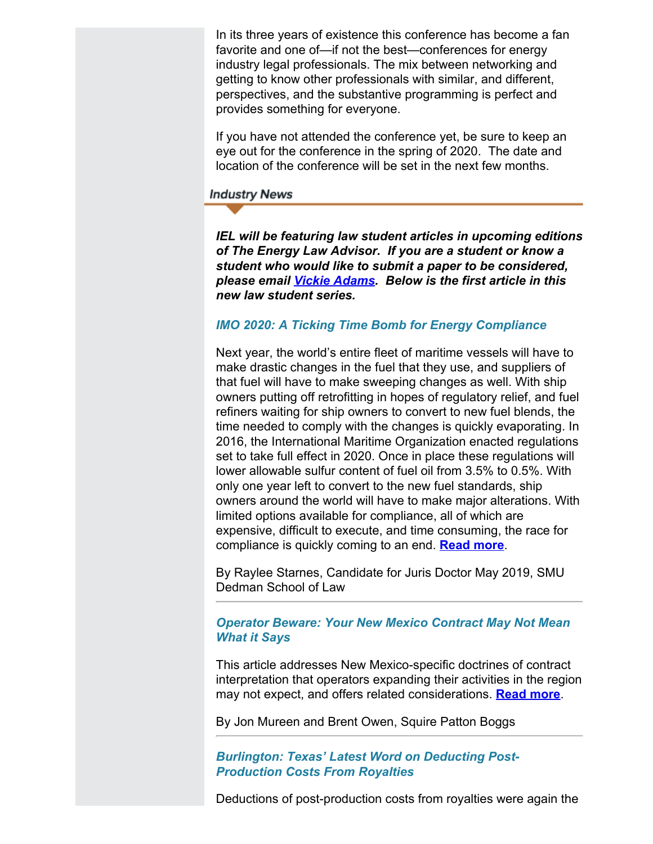In its three years of existence this conference has become a fan favorite and one of—if not the best—conferences for energy industry legal professionals. The mix between networking and getting to know other professionals with similar, and different, perspectives, and the substantive programming is perfect and provides something for everyone.

If you have not attended the conference yet, be sure to keep an eye out for the conference in the spring of 2020. The date and location of the conference will be set in the next few months.

**Industry News** 

*IEL will be featuring law student articles in upcoming editions of The Energy Law Advisor. If you are a student or know a student who would like to submit a paper to be considered, please email [Vickie Adams](mailto:vadams@cailaw.org). Below is the first article in this new law student series.*

## *IMO 2020: A Ticking Time Bomb for Energy Compliance*

Next year, the world's entire fleet of maritime vessels will have to make drastic changes in the fuel that they use, and suppliers of that fuel will have to make sweeping changes as well. With ship owners putting off retrofitting in hopes of regulatory relief, and fuel refiners waiting for ship owners to convert to new fuel blends, the time needed to comply with the changes is quickly evaporating. In 2016, the International Maritime Organization enacted regulations set to take full effect in 2020. Once in place these regulations will lower allowable sulfur content of fuel oil from 3.5% to 0.5%. With only one year left to convert to the new fuel standards, ship owners around the world will have to make major alterations. With limited options available for compliance, all of which are expensive, difficult to execute, and time consuming, the race for compliance is quickly coming to an end. **[Read more](http://www.cailaw.org/media/files/IEL/Publications/2019/starnes-vol13no2.pdf)**.

By Raylee Starnes, Candidate for Juris Doctor May 2019, SMU Dedman School of Law

## *Operator Beware: Your New Mexico Contract May Not Mean What it Says*

This article addresses New Mexico-specific doctrines of contract interpretation that operators expanding their activities in the region may not expect, and offers related considerations. **[Read more](http://www.cailaw.org/media/files/IEL/Publications/2019/mureen-vol13no2.pdf)**.

By Jon Mureen and Brent Owen, Squire Patton Boggs

*Burlington: Texas' Latest Word on Deducting Post-Production Costs From Royalties*

Deductions of post-production costs from royalties were again the